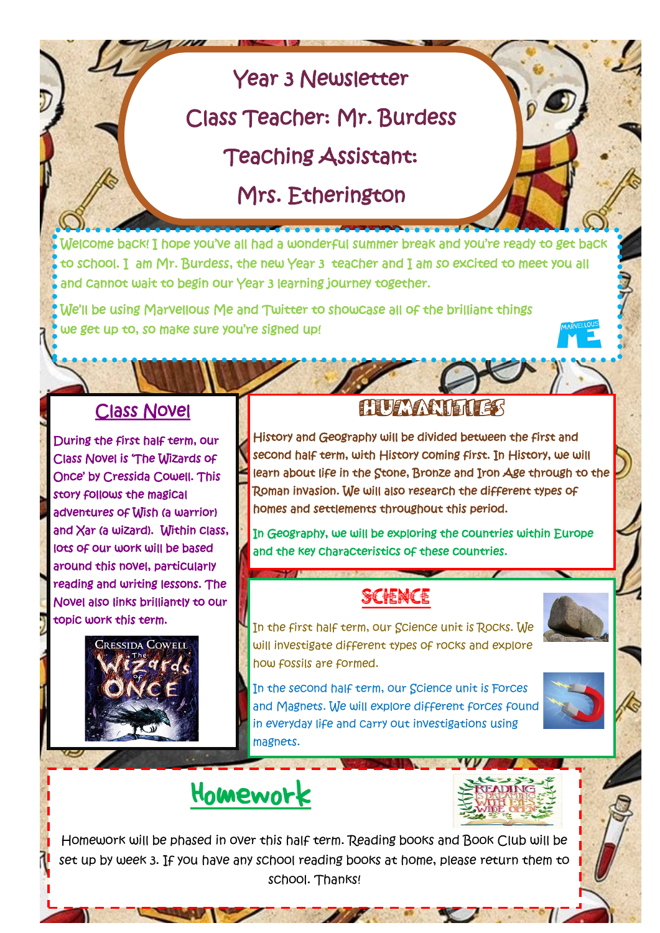# Year 3 Newsletter

Class Teacher: Mr. Burdess

Teaching Assistant:

Mrs. Etherington

Welcome back! I hope you've all had a wonderful summer break and you're ready to get back to school. I am Mr. Burdess, the new Year 3 teacher and I am so excited to meet you all and cannot wait to begin our Year 3 learning journey together.

We'll be using Marvellous Me and Twitter to showcase all of the brilliant things we get up to, so make sure you're signed up!

#### Class Novel

During the first half term, our Class Novel is 'The Wizards of Once' by Cressida Cowell. This story follows the magical adventures of Wish (a warrior) and Xar (a wizard). Within class, lots of our work will be based around this novel, particularly reading and writing lessons. The Novel also links brilliantly to our topic work this term.



### **HUMANIE**

History and Geography will be divided between the first and second half term, with History coming first. In History, we will learn about life in the Stone, Bronze and Iron Age through to the Roman invasion. We will also research the different types of homes and settlements throughout this period.

In Geography, we will be exploring the countries within Europe and the key characteristics of these countries.

### **SCIENCE**

In the first half term, our Science unit is Rocks. We will investigate different types of rocks and explore how fossils are formed.

In the second half term, our Science unit is Forces and Magnets. We will explore different forces found in everyday life and carry out investigations using magnets.

**All Construction** 



# Homework

Homework will be phased in over this half term. Reading books and Book Club will be set up by week 3. If you have any school reading books at home, please return them to school. Thanks!